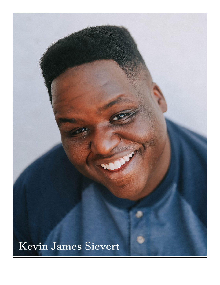